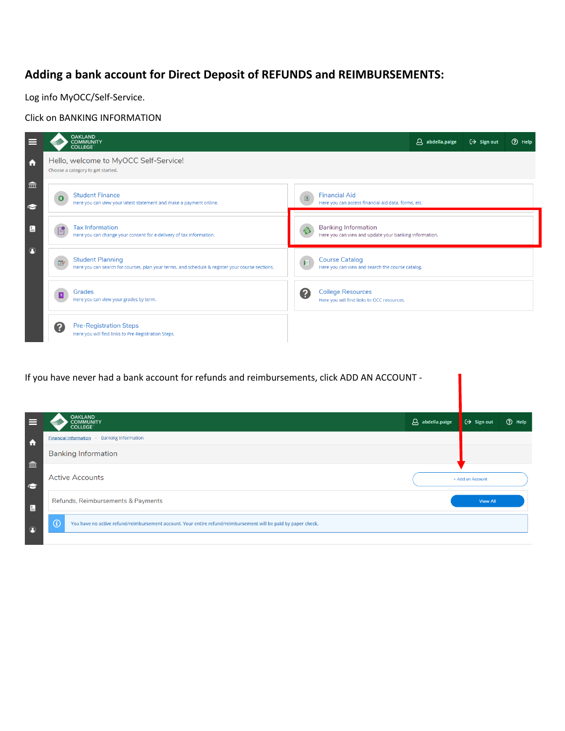## **Adding a bank account for Direct Deposit of REFUNDS and REIMBURSEMENTS:**

Log info MyOCC/Self-Service.

Click on BANKING INFORMATION



If you have never had a bank account for refunds and reimbursements, click ADD AN ACCOUNT -

| $\equiv$         | <b>OAKLAND</b><br><b>COMMUNITY</b>                                                                                        | $\beta$ abdella.paige | $\Theta$ Sign out | ⊙ Help |
|------------------|---------------------------------------------------------------------------------------------------------------------------|-----------------------|-------------------|--------|
|                  | <b>COLLEGE</b>                                                                                                            |                       |                   |        |
| $\ddot{\bullet}$ | <b>Banking Information</b><br><b>Financial Information</b>                                                                |                       |                   |        |
| 盒                | <b>Banking Information</b>                                                                                                |                       |                   |        |
| $\bullet$        | <b>Active Accounts</b>                                                                                                    |                       | + Add an Account  |        |
| $\blacksquare$   | Refunds, Reimbursements & Payments                                                                                        |                       | <b>View All</b>   |        |
| $\circledcirc$   | $\odot$<br>You have no active refund/reimbursement account. Your entire refund/reimbursement will be paid by paper check. |                       |                   |        |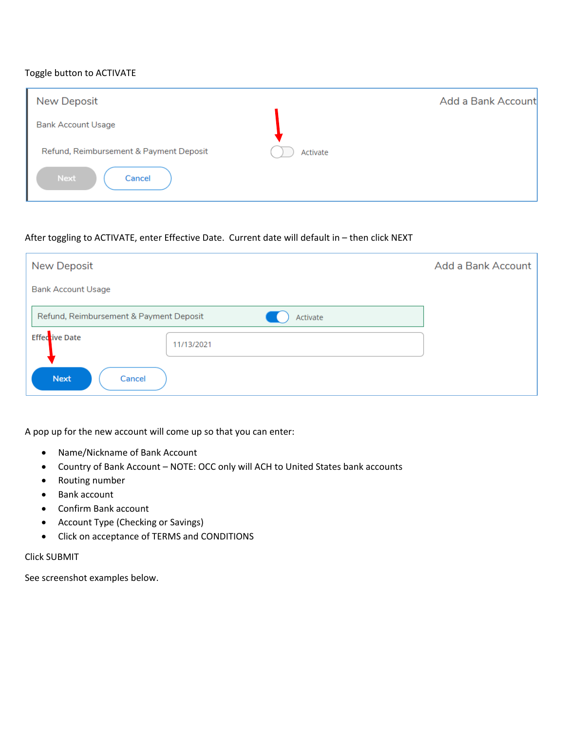## Toggle button to ACTIVATE

| New Deposit                             |          | Add a Bank Account |
|-----------------------------------------|----------|--------------------|
| <b>Bank Account Usage</b>               |          |                    |
| Refund, Reimbursement & Payment Deposit | Activate |                    |
| <b>Next</b><br>Cancel                   |          |                    |

## After toggling to ACTIVATE, enter Effective Date. Current date will default in – then click NEXT

| <b>New Deposit</b>                      |            | Add a Bank Account |
|-----------------------------------------|------------|--------------------|
| <b>Bank Account Usage</b>               |            |                    |
| Refund, Reimbursement & Payment Deposit | Activate   |                    |
| Effedtive Date                          | 11/13/2021 |                    |
| <b>Next</b><br>Cancel                   |            |                    |

A pop up for the new account will come up so that you can enter:

- Name/Nickname of Bank Account
- Country of Bank Account NOTE: OCC only will ACH to United States bank accounts
- Routing number
- Bank account
- Confirm Bank account
- Account Type (Checking or Savings)
- Click on acceptance of TERMS and CONDITIONS

## Click SUBMIT

See screenshot examples below.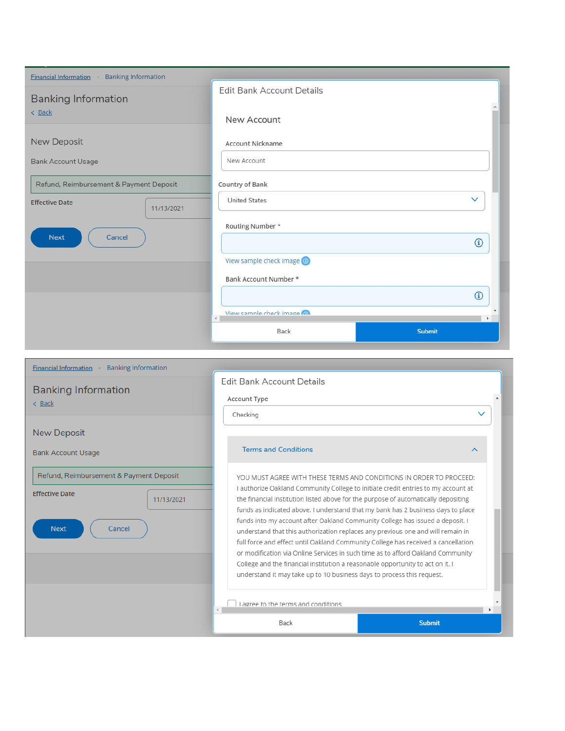| <b>Financial Information</b> Banking Information |                                     |              |
|--------------------------------------------------|-------------------------------------|--------------|
| <b>Banking Information</b>                       | <b>Edit Bank Account Details</b>    |              |
| < Back                                           | New Account                         |              |
| New Deposit                                      | <b>Account Nickname</b>             |              |
| <b>Bank Account Usage</b>                        | New Account                         |              |
| Refund, Reimbursement & Payment Deposit          | Country of Bank                     |              |
| <b>Effective Date</b><br>11/13/2021              | <b>United States</b>                | $\checkmark$ |
|                                                  | Routing Number *                    |              |
| <b>Next</b><br>Cancel                            |                                     | $^\circledR$ |
|                                                  | View sample check image @           |              |
|                                                  | Bank Account Number *               |              |
|                                                  |                                     | $^\circledR$ |
|                                                  | View sample check image (a)<br>$-1$ | $\mathbf{b}$ |
|                                                  | <b>Submit</b><br>Back               |              |
|                                                  |                                     |              |

| <u>Financial information</u> - Bariking imprimation                                                     |                                                                                                                                                                                                                                                                                                                                                                                                                                                                                                                                                                                                                                                                                                                                                                                                                                            |              |
|---------------------------------------------------------------------------------------------------------|--------------------------------------------------------------------------------------------------------------------------------------------------------------------------------------------------------------------------------------------------------------------------------------------------------------------------------------------------------------------------------------------------------------------------------------------------------------------------------------------------------------------------------------------------------------------------------------------------------------------------------------------------------------------------------------------------------------------------------------------------------------------------------------------------------------------------------------------|--------------|
| <b>Banking Information</b><br>< Back                                                                    | Edit Bank Account Details<br>Account Type                                                                                                                                                                                                                                                                                                                                                                                                                                                                                                                                                                                                                                                                                                                                                                                                  | $\checkmark$ |
| <b>New Deposit</b><br><b>Bank Account Usage</b>                                                         | Checking<br><b>Terms and Conditions</b><br>∧                                                                                                                                                                                                                                                                                                                                                                                                                                                                                                                                                                                                                                                                                                                                                                                               |              |
| Refund, Reimbursement & Payment Deposit<br><b>Effective Date</b><br>11/13/2021<br><b>Next</b><br>Cancel | YOU MUST AGREE WITH THESE TERMS AND CONDITIONS IN ORDER TO PROCEED:<br>I authorize Oakland Community College to initiate credit entries to my account at<br>the financial institution listed above for the purpose of automatically depositing<br>funds as indicated above. I understand that my bank has 2 business days to place<br>funds into my account after Oakland Community College has issued a deposit. I<br>understand that this authorization replaces any previous one and will remain in<br>full force and effect until Oakland Community College has received a cancellation<br>or modification via Online Services in such time as to afford Oakland Community<br>College and the financial institution a reasonable opportunity to act on it. I<br>understand it may take up to 10 business days to process this request. |              |
|                                                                                                         | Lagree to the terms and conditions<br>$\left  \cdot \right $<br><b>Submit</b><br>Back                                                                                                                                                                                                                                                                                                                                                                                                                                                                                                                                                                                                                                                                                                                                                      |              |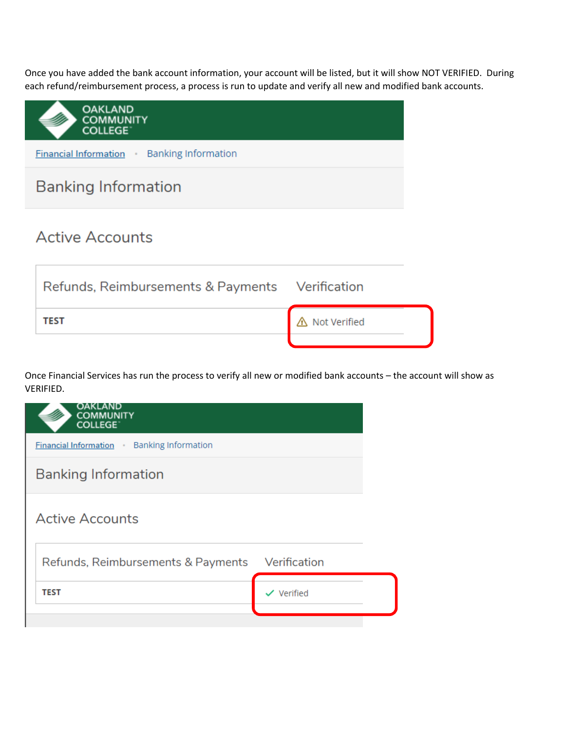Once you have added the bank account information, your account will be listed, but it will show NOT VERIFIED. During each refund/reimbursement process, a process is run to update and verify all new and modified bank accounts.

| <b>OAKLAND</b><br><b>COMMUNITY</b><br><b>COLLEGE</b> |              |  |
|------------------------------------------------------|--------------|--|
| <b>Financial Information</b> Banking Information     |              |  |
| <b>Banking Information</b>                           |              |  |
| <b>Active Accounts</b>                               |              |  |
| Refunds, Reimbursements & Payments Verification      |              |  |
| TEST                                                 | Not Verified |  |

Once Financial Services has run the process to verify all new or modified bank accounts – the account will show as VERIFIED.